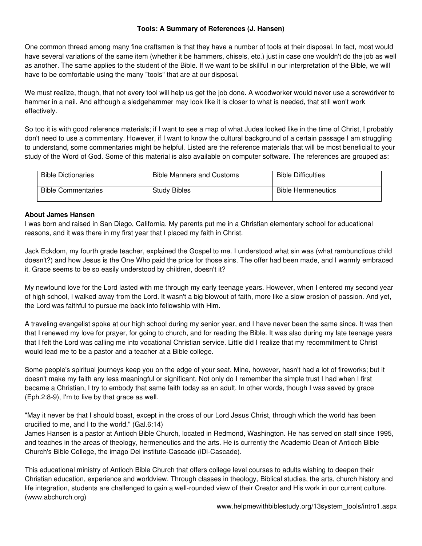# **Tools: A Summary of References (J. Hansen)**

One common thread among many fine craftsmen is that they have a number of tools at their disposal. In fact, most would have several variations of the same item (whether it be hammers, chisels, etc.) just in case one wouldn't do the job as well as another. The same applies to the student of the Bible. If we want to be skillful in our interpretation of the Bible, we will have to be comfortable using the many "tools" that are at our disposal.

We must realize, though, that not every tool will help us get the job done. A woodworker would never use a screwdriver to hammer in a nail. And although a sledgehammer may look like it is closer to what is needed, that still won't work effectively.

So too it is with good reference materials; if I want to see a map of what Judea looked like in the time of Christ, I probably don't need to use a commentary. However, if I want to know the cultural background of a certain passage I am struggling to understand, some commentaries might be helpful. Listed are the reference materials that will be most beneficial to your study of the Word of God. Some of this material is also available on computer software. The references are grouped as:

| <b>Bible Dictionaries</b> | <b>Bible Manners and Customs</b> | <b>Bible Difficulties</b> |
|---------------------------|----------------------------------|---------------------------|
| <b>Bible Commentaries</b> | <b>Study Bibles</b>              | <b>Bible Hermeneutics</b> |

# **About James Hansen**

I was born and raised in San Diego, California. My parents put me in a Christian elementary school for educational reasons, and it was there in my first year that I placed my faith in Christ.

Jack Eckdom, my fourth grade teacher, explained the Gospel to me. I understood what sin was (what rambunctious child doesn't?) and how Jesus is the One Who paid the price for those sins. The offer had been made, and I warmly embraced it. Grace seems to be so easily understood by children, doesn't it?

My newfound love for the Lord lasted with me through my early teenage years. However, when I entered my second year of high school, I walked away from the Lord. It wasn't a big blowout of faith, more like a slow erosion of passion. And yet, the Lord was faithful to pursue me back into fellowship with Him.

A traveling evangelist spoke at our high school during my senior year, and I have never been the same since. It was then that I renewed my love for prayer, for going to church, and for reading the Bible. It was also during my late teenage years that I felt the Lord was calling me into vocational Christian service. Little did I realize that my recommitment to Christ would lead me to be a pastor and a teacher at a Bible college.

Some people's spiritual journeys keep you on the edge of your seat. Mine, however, hasn't had a lot of fireworks; but it doesn't make my faith any less meaningful or significant. Not only do I remember the simple trust I had when I first became a Christian, I try to embody that same faith today as an adult. In other words, though I was saved by grace (Eph.2:8-9), I'm to live by that grace as well.

"May it never be that I should boast, except in the cross of our Lord Jesus Christ, through which the world has been crucified to me, and I to the world." (Gal.6:14)

James Hansen is a pastor at Antioch Bible Church, located in Redmond, Washington. He has served on staff since 1995, and teaches in the areas of theology, hermeneutics and the arts. He is currently the Academic Dean of Antioch Bible Church's Bible College, the imago Dei institute-Cascade (iDi-Cascade).

This educational ministry of Antioch Bible Church that offers college level courses to adults wishing to deepen their Christian education, experience and worldview. Through classes in theology, Biblical studies, the arts, church history and life integration, students are challenged to gain a well-rounded view of their Creator and His work in our current culture. (www.abchurch.org)

www.helpmewithbiblestudy.org/13system\_tools/intro1.aspx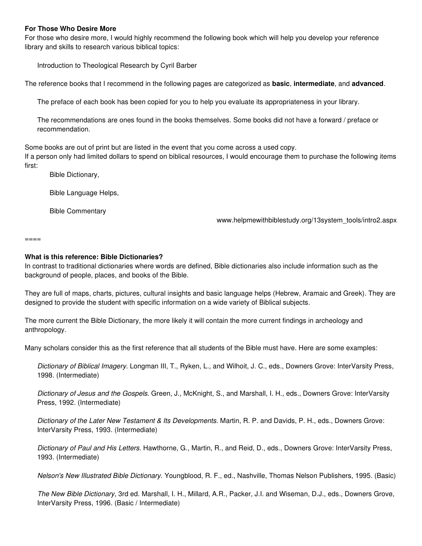## **For Those Who Desire More**

For those who desire more, I would highly recommend the following book which will help you develop your reference library and skills to research various biblical topics:

Introduction to Theological Research by Cyril Barber

The reference books that I recommend in the following pages are categorized as **basic**, **intermediate**, and **advanced**.

The preface of each book has been copied for you to help you evaluate its appropriateness in your library.

The recommendations are ones found in the books themselves. Some books did not have a forward / preface or recommendation.

Some books are out of print but are listed in the event that you come across a used copy.

If a person only had limited dollars to spend on biblical resources, I would encourage them to purchase the following items first:

Bible Dictionary,

Bible Language Helps,

Bible Commentary

www.helpmewithbiblestudy.org/13system\_tools/intro2.aspx

====

## **What is this reference: Bible Dictionaries?**

In contrast to traditional dictionaries where words are defined, Bible dictionaries also include information such as the background of people, places, and books of the Bible.

They are full of maps, charts, pictures, cultural insights and basic language helps (Hebrew, Aramaic and Greek). They are designed to provide the student with specific information on a wide variety of Biblical subjects.

The more current the Bible Dictionary, the more likely it will contain the more current findings in archeology and anthropology.

Many scholars consider this as the first reference that all students of the Bible must have. Here are some examples:

Dictionary of Biblical Imagery. Longman III, T., Ryken, L., and Wilhoit, J. C., eds., Downers Grove: InterVarsity Press, 1998. (Intermediate)

Dictionary of Jesus and the Gospels. Green, J., McKnight, S., and Marshall, I. H., eds., Downers Grove: InterVarsity Press, 1992. (Intermediate)

Dictionary of the Later New Testament & Its Developments. Martin, R. P. and Davids, P. H., eds., Downers Grove: InterVarsity Press, 1993. (Intermediate)

Dictionary of Paul and His Letters. Hawthorne, G., Martin, R., and Reid, D., eds., Downers Grove: InterVarsity Press, 1993. (Intermediate)

Nelson's New Illustrated Bible Dictionary. Youngblood, R. F., ed., Nashville, Thomas Nelson Publishers, 1995. (Basic)

The New Bible Dictionary, 3rd ed. Marshall, I. H., Millard, A.R., Packer, J.I. and Wiseman, D.J., eds., Downers Grove, InterVarsity Press, 1996. (Basic / Intermediate)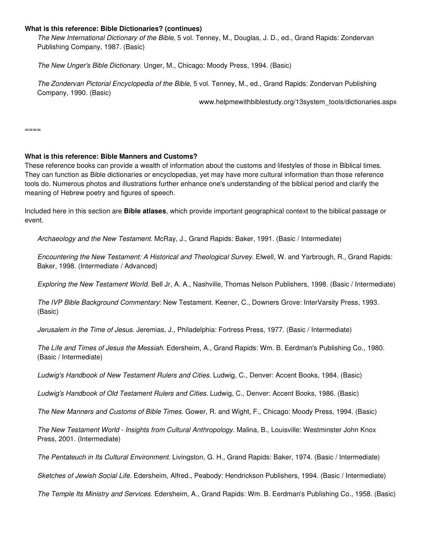## **What is this reference: Bible Dictionaries? (continues)**

The New International Dictionary of the Bible, 5 vol. Tenney, M., Douglas, J. D., ed., Grand Rapids: Zondervan Publishing Company, 1987. (Basic)

The New Unger's Bible Dictionary. Unger, M., Chicago: Moody Press, 1994. (Basic)

The Zondervan Pictorial Encyclopedia of the Bible, 5 vol. Tenney, M., ed., Grand Rapids: Zondervan Publishing Company, 1990. (Basic)

www.helpmewithbiblestudy.org/13system\_tools/dictionaries.aspx

 $=$  $=$  $=$  $=$  $=$ 

## **What is this reference: Bible Manners and Customs?**

These reference books can provide a wealth of information about the customs and lifestyles of those in Biblical times. They can function as Bible dictionaries or encyclopedias, yet may have more cultural information than those reference tools do. Numerous photos and illustrations further enhance one's understanding of the biblical period and clarify the meaning of Hebrew poetry and figures of speech.

Included here in this section are **Bible atlases**, which provide important geographical context to the biblical passage or event.

Archaeology and the New Testament. McRay, J., Grand Rapids: Baker, 1991. (Basic / Intermediate)

Encountering the New Testament: A Historical and Theological Survey. Elwell, W. and Yarbrough, R., Grand Rapids: Baker, 1998. (Intermediate / Advanced)

Exploring the New Testament World. Bell Jr, A. A., Nashville, Thomas Nelson Publishers, 1998. (Basic / Intermediate)

The IVP Bible Background Commentary: New Testament. Keener, C., Downers Grove: InterVarsity Press, 1993. (Basic)

Jerusalem in the Time of Jesus. Jeremias, J., Philadelphia: Fortress Press, 1977. (Basic / Intermediate)

The Life and Times of Jesus the Messiah. Edersheim, A., Grand Rapids: Wm. B. Eerdman's Publishing Co., 1980. (Basic / Intermediate)

Ludwig's Handbook of New Testament Rulers and Cities. Ludwig, C., Denver: Accent Books, 1984. (Basic)

Ludwig's Handbook of Old Testament Rulers and Cities. Ludwig, C., Denver: Accent Books, 1986. (Basic)

The New Manners and Customs of Bible Times. Gower, R. and Wight, F., Chicago: Moody Press, 1994. (Basic)

The New Testament World - Insights from Cultural Anthropology. Malina, B., Louisville: Westminster John Knox Press, 2001. (Intermediate)

The Pentateuch in Its Cultural Environment. Livingston, G. H., Grand Rapids: Baker, 1974. (Basic / Intermediate)

Sketches of Jewish Social Life. Edersheim, Alfred., Peabody: Hendrickson Publishers, 1994. (Basic / Intermediate)

The Temple Its Ministry and Services. Edersheim, A., Grand Rapids: Wm. B. Eerdman's Publishing Co., 1958. (Basic)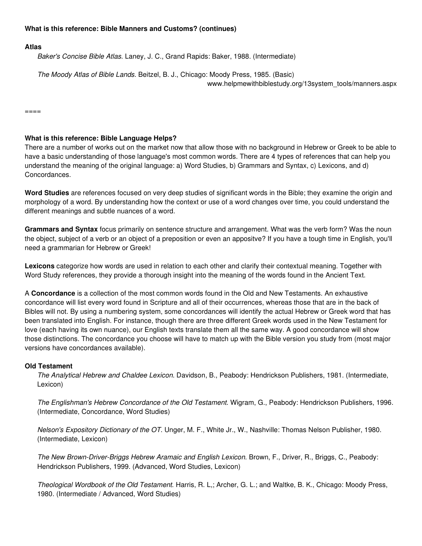## **What is this reference: Bible Manners and Customs? (continues)**

### **Atlas**

Baker's Concise Bible Atlas. Laney, J. C., Grand Rapids: Baker, 1988. (Intermediate)

The Moody Atlas of Bible Lands. Beitzel, B. J., Chicago: Moody Press, 1985. (Basic) www.helpmewithbiblestudy.org/13system\_tools/manners.aspx

 $====$ 

#### **What is this reference: Bible Language Helps?**

There are a number of works out on the market now that allow those with no background in Hebrew or Greek to be able to have a basic understanding of those language's most common words. There are 4 types of references that can help you understand the meaning of the original language: a) Word Studies, b) Grammars and Syntax, c) Lexicons, and d) Concordances.

**Word Studies** are references focused on very deep studies of significant words in the Bible; they examine the origin and morphology of a word. By understanding how the context or use of a word changes over time, you could understand the different meanings and subtle nuances of a word.

**Grammars and Syntax** focus primarily on sentence structure and arrangement. What was the verb form? Was the noun the object, subject of a verb or an object of a preposition or even an appositve? If you have a tough time in English, you'll need a grammarian for Hebrew or Greek!

**Lexicons** categorize how words are used in relation to each other and clarify their contextual meaning. Together with Word Study references, they provide a thorough insight into the meaning of the words found in the Ancient Text.

A **Concordance** is a collection of the most common words found in the Old and New Testaments. An exhaustive concordance will list every word found in Scripture and all of their occurrences, whereas those that are in the back of Bibles will not. By using a numbering system, some concordances will identify the actual Hebrew or Greek word that has been translated into English. For instance, though there are three different Greek words used in the New Testament for love (each having its own nuance), our English texts translate them all the same way. A good concordance will show those distinctions. The concordance you choose will have to match up with the Bible version you study from (most major versions have concordances available).

### **Old Testament**

The Analytical Hebrew and Chaldee Lexicon. Davidson, B., Peabody: Hendrickson Publishers, 1981. (Intermediate, Lexicon)

The Englishman's Hebrew Concordance of the Old Testament. Wigram, G., Peabody: Hendrickson Publishers, 1996. (Intermediate, Concordance, Word Studies)

Nelson's Expository Dictionary of the OT. Unger, M. F., White Jr., W., Nashville: Thomas Nelson Publisher, 1980. (Intermediate, Lexicon)

The New Brown-Driver-Briggs Hebrew Aramaic and English Lexicon. Brown, F., Driver, R., Briggs, C., Peabody: Hendrickson Publishers, 1999. (Advanced, Word Studies, Lexicon)

Theological Wordbook of the Old Testament. Harris, R. L,; Archer, G. L.; and Waltke, B. K., Chicago: Moody Press, 1980. (Intermediate / Advanced, Word Studies)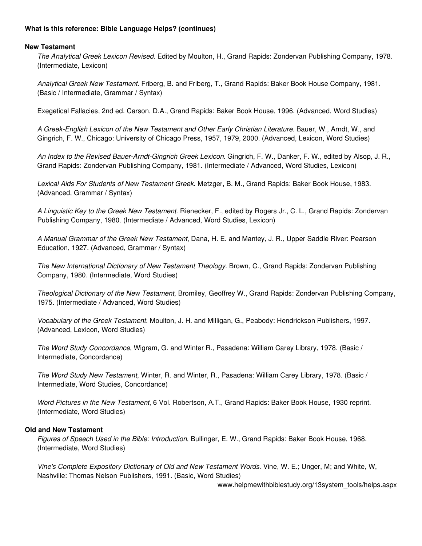# **What is this reference: Bible Language Helps? (continues)**

## **New Testament**

The Analytical Greek Lexicon Revised. Edited by Moulton, H., Grand Rapids: Zondervan Publishing Company, 1978. (Intermediate, Lexicon)

Analytical Greek New Testament. Friberg, B. and Friberg, T., Grand Rapids: Baker Book House Company, 1981. (Basic / Intermediate, Grammar / Syntax)

Exegetical Fallacies, 2nd ed. Carson, D.A., Grand Rapids: Baker Book House, 1996. (Advanced, Word Studies)

A Greek-English Lexicon of the New Testament and Other Early Christian Literature. Bauer, W., Arndt, W., and Gingrich, F. W., Chicago: University of Chicago Press, 1957, 1979, 2000. (Advanced, Lexicon, Word Studies)

An Index to the Revised Bauer-Arndt-Gingrich Greek Lexicon. Gingrich, F. W., Danker, F. W., edited by Alsop, J. R., Grand Rapids: Zondervan Publishing Company, 1981. (Intermediate / Advanced, Word Studies, Lexicon)

Lexical Aids For Students of New Testament Greek. Metzger, B. M., Grand Rapids: Baker Book House, 1983. (Advanced, Grammar / Syntax)

A Linguistic Key to the Greek New Testament. Rienecker, F., edited by Rogers Jr., C. L., Grand Rapids: Zondervan Publishing Company, 1980. (Intermediate / Advanced, Word Studies, Lexicon)

A Manual Grammar of the Greek New Testament, Dana, H. E. and Mantey, J. R., Upper Saddle River: Pearson Education, 1927. (Advanced, Grammar / Syntax)

The New International Dictionary of New Testament Theology. Brown, C., Grand Rapids: Zondervan Publishing Company, 1980. (Intermediate, Word Studies)

Theological Dictionary of the New Testament, Bromiley, Geoffrey W., Grand Rapids: Zondervan Publishing Company, 1975. (Intermediate / Advanced, Word Studies)

Vocabulary of the Greek Testament. Moulton, J. H. and Milligan, G., Peabody: Hendrickson Publishers, 1997. (Advanced, Lexicon, Word Studies)

The Word Study Concordance, Wigram, G. and Winter R., Pasadena: William Carey Library, 1978. (Basic / Intermediate, Concordance)

The Word Study New Testament, Winter, R. and Winter, R., Pasadena: William Carey Library, 1978. (Basic / Intermediate, Word Studies, Concordance)

Word Pictures in the New Testament, 6 Vol. Robertson, A.T., Grand Rapids: Baker Book House, 1930 reprint. (Intermediate, Word Studies)

### **Old and New Testament**

Figures of Speech Used in the Bible: Introduction, Bullinger, E. W., Grand Rapids: Baker Book House, 1968. (Intermediate, Word Studies)

Vine's Complete Expository Dictionary of Old and New Testament Words. Vine, W. E.; Unger, M; and White, W, Nashville: Thomas Nelson Publishers, 1991. (Basic, Word Studies)

www.helpmewithbiblestudy.org/13system\_tools/helps.aspx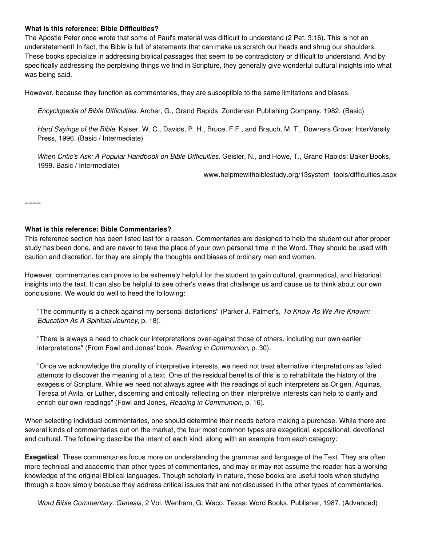## **What is this reference: Bible Difficulties?**

The Apostle Peter once wrote that some of Paul's material was difficult to understand (2 Pet. 3:16). This is not an understatement! In fact, the Bible is full of statements that can make us scratch our heads and shrug our shoulders. These books specialize in addressing biblical passages that seem to be contradictory or difficult to understand. And by specifically addressing the perplexing things we find in Scripture, they generally give wonderful cultural insights into what was being said.

However, because they function as commentaries, they are susceptible to the same limitations and biases.

Encyclopedia of Bible Difficulties. Archer, G., Grand Rapids: Zondervan Publishing Company, 1982. (Basic)

Hard Sayings of the Bible. Kaiser, W. C., Davids, P. H., Bruce, F.F., and Brauch, M. T., Downers Grove: InterVarsity Press, 1996. (Basic / Intermediate)

When Critic's Ask: A Popular Handbook on Bible Difficulties. Geisler, N., and Howe, T., Grand Rapids: Baker Books, 1999. Basic / Intermediate)

www.helpmewithbiblestudy.org/13system\_tools/difficulties.aspx

====

## **What is this reference: Bible Commentaries?**

This reference section has been listed last for a reason. Commentaries are designed to help the student out after proper study has been done, and are never to take the place of your own personal time in the Word. They should be used with caution and discretion, for they are simply the thoughts and biases of ordinary men and women.

However, commentaries can prove to be extremely helpful for the student to gain cultural, grammatical, and historical insights into the text. It can also be helpful to see other's views that challenge us and cause us to think about our own conclusions. We would do well to heed the following:

"The community is a check against my personal distortions" (Parker J. Palmer's, To Know As We Are Known: Education As A Spiritual Journey, p. 18).

"There is always a need to check our interpretations over-against those of others, including our own earlier interpretations" (From Fowl and Jones' book, Reading in Communion, p. 30).

"Once we acknowledge the plurality of interpretive interests, we need not treat alternative interpretations as failed attempts to discover the meaning of a text. One of the residual benefits of this is to rehabilitate the history of the exegesis of Scripture. While we need not always agree with the readings of such interpreters as Origen, Aquinas, Teresa of Avila, or Luther, discerning and critically reflecting on their interpretive interests can help to clarify and enrich our own readings" (Fowl and Jones, Reading in Communion, p. 16).

When selecting individual commentaries, one should determine their needs before making a purchase. While there are several kinds of commentaries out on the market, the four most common types are exegetical, expositional, devotional and cultural. The following describe the intent of each kind, along with an example from each category:

**Exegetical**: These commentaries focus more on understanding the grammar and language of the Text. They are often more technical and academic than other types of commentaries, and may or may not assume the reader has a working knowledge of the original Biblical languages. Though scholarly in nature, these books are useful tools when studying through a book simply because they address critical issues that are not discussed in the other types of commentaries.

Word Bible Commentary: Genesis, 2 Vol. Wenham, G. Waco, Texas: Word Books, Publisher, 1987. (Advanced)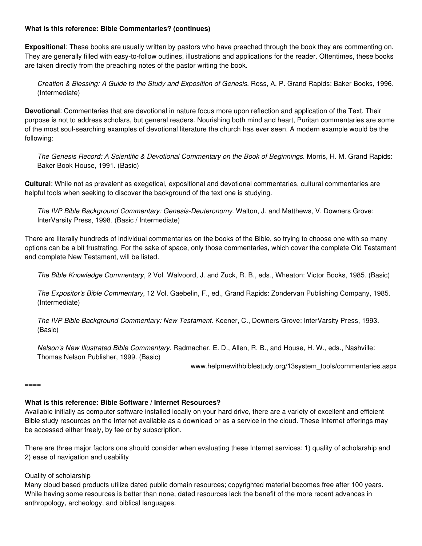# **What is this reference: Bible Commentaries? (continues)**

**Expositional**: These books are usually written by pastors who have preached through the book they are commenting on. They are generally filled with easy-to-follow outlines, illustrations and applications for the reader. Oftentimes, these books are taken directly from the preaching notes of the pastor writing the book.

Creation & Blessing: A Guide to the Study and Exposition of Genesis. Ross, A. P. Grand Rapids: Baker Books, 1996. (Intermediate)

**Devotional**: Commentaries that are devotional in nature focus more upon reflection and application of the Text. Their purpose is not to address scholars, but general readers. Nourishing both mind and heart, Puritan commentaries are some of the most soul-searching examples of devotional literature the church has ever seen. A modern example would be the following:

The Genesis Record: A Scientific & Devotional Commentary on the Book of Beginnings. Morris, H. M. Grand Rapids: Baker Book House, 1991. (Basic)

**Cultural**: While not as prevalent as exegetical, expositional and devotional commentaries, cultural commentaries are helpful tools when seeking to discover the background of the text one is studying.

The IVP Bible Background Commentary: Genesis-Deuteronomy. Walton, J. and Matthews, V. Downers Grove: InterVarsity Press, 1998. (Basic / Intermediate)

There are literally hundreds of individual commentaries on the books of the Bible, so trying to choose one with so many options can be a bit frustrating. For the sake of space, only those commentaries, which cover the complete Old Testament and complete New Testament, will be listed.

The Bible Knowledge Commentary, 2 Vol. Walvoord, J. and Zuck, R. B., eds., Wheaton: Victor Books, 1985. (Basic)

The Expositor's Bible Commentary, 12 Vol. Gaebelin, F., ed., Grand Rapids: Zondervan Publishing Company, 1985. (Intermediate)

The IVP Bible Background Commentary: New Testament. Keener, C., Downers Grove: InterVarsity Press, 1993. (Basic)

Nelson's New Illustrated Bible Commentary. Radmacher, E. D., Allen, R. B., and House, H. W., eds., Nashville: Thomas Nelson Publisher, 1999. (Basic)

www.helpmewithbiblestudy.org/13system\_tools/commentaries.aspx

====

# **What is this reference: Bible Software / Internet Resources?**

Available initially as computer software installed locally on your hard drive, there are a variety of excellent and efficient Bible study resources on the Internet available as a download or as a service in the cloud. These Internet offerings may be accessed either freely, by fee or by subscription.

There are three major factors one should consider when evaluating these Internet services: 1) quality of scholarship and 2) ease of navigation and usability

# Quality of scholarship

Many cloud based products utilize dated public domain resources; copyrighted material becomes free after 100 years. While having some resources is better than none, dated resources lack the benefit of the more recent advances in anthropology, archeology, and biblical languages.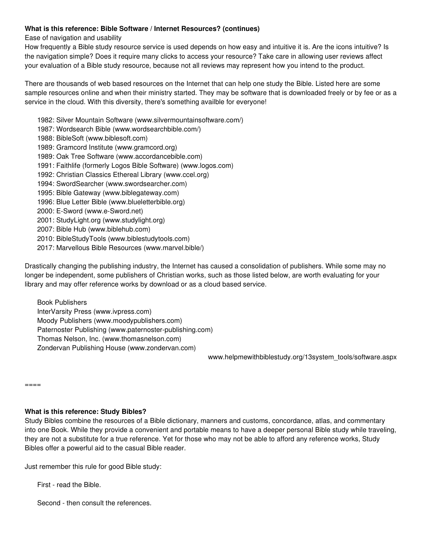# **What is this reference: Bible Software / Internet Resources? (continues)**

Ease of navigation and usability

How frequently a Bible study resource service is used depends on how easy and intuitive it is. Are the icons intuitive? Is the navigation simple? Does it require many clicks to access your resource? Take care in allowing user reviews affect your evaluation of a Bible study resource, because not all reviews may represent how you intend to the product.

There are thousands of web based resources on the Internet that can help one study the Bible. Listed here are some sample resources online and when their ministry started. They may be software that is downloaded freely or by fee or as a service in the cloud. With this diversity, there's something availble for everyone!

1982: Silver Mountain Software (www.silvermountainsoftware.com/) 1987: Wordsearch Bible (www.wordsearchbible.com/) 1988: BibleSoft (www.biblesoft.com) 1989: Gramcord Institute (www.gramcord.org) 1989: Oak Tree Software (www.accordancebible.com) 1991: Faithlife (formerly Logos Bible Software) (www.logos.com) 1992: Christian Classics Ethereal Library (www.ccel.org) 1994: SwordSearcher (www.swordsearcher.com) 1995: Bible Gateway (www.biblegateway.com) 1996: Blue Letter Bible (www.blueletterbible.org) 2000: E-Sword (www.e-Sword.net) 2001: StudyLight.org (www.studylight.org) 2007: Bible Hub (www.biblehub.com) 2010: BibleStudyTools (www.biblestudytools.com) 2017: Marvellous Bible Resources (www.marvel.bible/)

Drastically changing the publishing industry, the Internet has caused a consolidation of publishers. While some may no longer be independent, some publishers of Christian works, such as those listed below, are worth evaluating for your library and may offer reference works by download or as a cloud based service.

Book Publishers InterVarsity Press (www.ivpress.com) Moody Publishers (www.moodypublishers.com) Paternoster Publishing (www.paternoster-publishing.com) Thomas Nelson, Inc. (www.thomasnelson.com) Zondervan Publishing House (www.zondervan.com)

www.helpmewithbiblestudy.org/13system\_tools/software.aspx

====

# **What is this reference: Study Bibles?**

Study Bibles combine the resources of a Bible dictionary, manners and customs, concordance, atlas, and commentary into one Book. While they provide a convenient and portable means to have a deeper personal Bible study while traveling, they are not a substitute for a true reference. Yet for those who may not be able to afford any reference works, Study Bibles offer a powerful aid to the casual Bible reader.

Just remember this rule for good Bible study:

First - read the Bible.

Second - then consult the references.